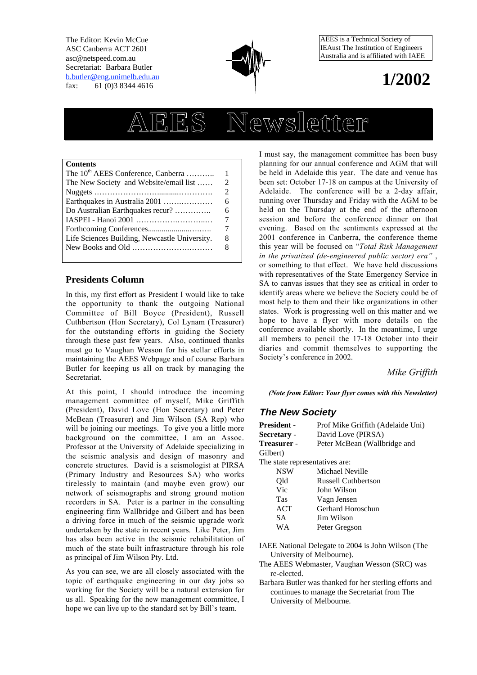The Editor: Kevin McCue ASC Canberra ACT 2601 asc@netspeed.com.au Secretariat: Barbara Butler b.butler@eng.unimelb.edu.au fax: 61 (0)3 8344 4616



AEES is a Technical Society of IEAust The Institution of Engineers Australia and is affiliated with IAEE

## **1/2002**

# **AEES Newsletter**

#### **Contents**

| The 10 <sup>th</sup> AEES Conference, Canberra | 1                                                                                                                                                               |
|------------------------------------------------|-----------------------------------------------------------------------------------------------------------------------------------------------------------------|
| The New Society and Website/email list         | $\mathcal{D}_{\mathcal{L}}^{\mathcal{L}}(\mathcal{L})=\mathcal{L}_{\mathcal{L}}^{\mathcal{L}}(\mathcal{L})\mathcal{L}_{\mathcal{L}}^{\mathcal{L}}(\mathcal{L})$ |
|                                                | $\overline{c}$                                                                                                                                                  |
| Earthquakes in Australia 2001                  | 6                                                                                                                                                               |
| Do Australian Earthquakes recur?               | 6                                                                                                                                                               |
|                                                | 7                                                                                                                                                               |
|                                                | 7                                                                                                                                                               |
| Life Sciences Building, Newcastle University.  | 8                                                                                                                                                               |
|                                                | 8                                                                                                                                                               |
|                                                |                                                                                                                                                                 |

#### **Presidents Column**

In this, my first effort as President I would like to take the opportunity to thank the outgoing National Committee of Bill Boyce (President), Russell Cuthbertson (Hon Secretary), Col Lynam (Treasurer) for the outstanding efforts in guiding the Society through these past few years. Also, continued thanks must go to Vaughan Wesson for his stellar efforts in maintaining the AEES Webpage and of course Barbara Butler for keeping us all on track by managing the Secretariat.

At this point, I should introduce the incoming management committee of myself, Mike Griffith (President), David Love (Hon Secretary) and Peter McBean (Treasurer) and Jim Wilson (SA Rep) who will be joining our meetings. To give you a little more background on the committee, I am an Assoc. Professor at the University of Adelaide specializing in the seismic analysis and design of masonry and concrete structures. David is a seismologist at PIRSA (Primary Industry and Resources SA) who works tirelessly to maintain (and maybe even grow) our network of seismographs and strong ground motion recorders in SA. Peter is a partner in the consulting engineering firm Wallbridge and Gilbert and has been a driving force in much of the seismic upgrade work undertaken by the state in recent years. Like Peter, Jim has also been active in the seismic rehabilitation of much of the state built infrastructure through his role as principal of Jim Wilson Pty. Ltd.

As you can see, we are all closely associated with the topic of earthquake engineering in our day jobs so working for the Society will be a natural extension for us all. Speaking for the new management committee, I hope we can live up to the standard set by Bill's team.

I must say, the management committee has been busy planning for our annual conference and AGM that will be held in Adelaide this year. The date and venue has been set: October 17-18 on campus at the University of Adelaide. The conference will be a 2-day affair, running over Thursday and Friday with the AGM to be held on the Thursday at the end of the afternoon session and before the conference dinner on that evening. Based on the sentiments expressed at the 2001 conference in Canberra, the conference theme this year will be focused on "*Total Risk Management in the privatized (de-engineered public sector) era"* , or something to that effect. We have held discussions with representatives of the State Emergency Service in SA to canvas issues that they see as critical in order to identify areas where we believe the Society could be of most help to them and their like organizations in other states. Work is progressing well on this matter and we hope to have a flyer with more details on the conference available shortly. In the meantime, I urge all members to pencil the 17-18 October into their diaries and commit themselves to supporting the Society's conference in 2002.

*Mike Griffith*

*(Note from Editor: Your flyer comes with this Newsletter)*

#### **The New Society**

| Prof Mike Griffith (Adelaide Uni) |
|-----------------------------------|
| David Love (PIRSA)                |
| Peter McBean (Wallbridge and      |
|                                   |
| The state representatives are:    |
| Michael Neville                   |
| Russell Cuthbertson               |
| John Wilson                       |
| Vagn Jensen                       |
| Gerhard Horoschun                 |
| Jim Wilson                        |
| Peter Gregson                     |
|                                   |
|                                   |

IAEE National Delegate to 2004 is John Wilson (The University of Melbourne).

- The AEES Webmaster, Vaughan Wesson (SRC) was re-elected.
- Barbara Butler was thanked for her sterling efforts and continues to manage the Secretariat from The University of Melbourne.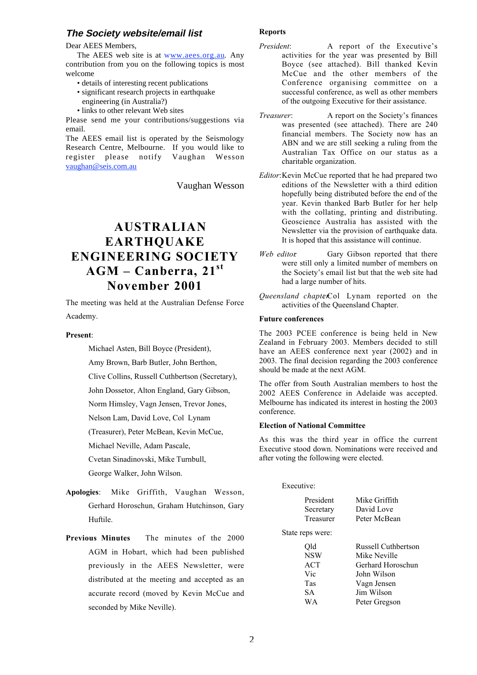#### **The Society website/email list**

Dear AEES Members,

The AEES web site is at www.aees.org.au. Any contribution from you on the following topics is most welcome

- details of interesting recent publications
- significant research projects in earthquake engineering (in Australia?)
- links to other relevant Web sites

Please send me your contributions/suggestions via email.

The AEES email list is operated by the Seismology Research Centre, Melbourne. If you would like to register please notify Vaughan Wesson vaughan@seis.com.au

Vaughan Wesson

## **AUSTRALIAN EARTHQUAKE ENGINEERING SOCIETY AGM – Canberra, 21st November 2001**

The meeting was held at the Australian Defense Force Academy.

#### **Present**:

Michael Asten, Bill Boyce (President),

Amy Brown, Barb Butler, John Berthon,

Clive Collins, Russell Cuthbertson (Secretary),

John Dossetor, Alton England, Gary Gibson,

Norm Himsley, Vagn Jensen, Trevor Jones,

Nelson Lam, David Love, Col Lynam

(Treasurer), Peter McBean, Kevin McCue,

Michael Neville, Adam Pascale,

Cvetan Sinadinovski, Mike Turnbull,

George Walker, John Wilson.

- **Apologies**: Mike Griffith, Vaughan Wesson, Gerhard Horoschun, Graham Hutchinson, Gary Huftile.
- **Previous Minutes** The minutes of the 2000 AGM in Hobart, which had been published previously in the AEES Newsletter, were distributed at the meeting and accepted as an accurate record (moved by Kevin McCue and seconded by Mike Neville).

#### **Reports**

- *President*: A report of the Executive's activities for the year was presented by Bill Boyce (see attached). Bill thanked Kevin McCue and the other members of the Conference organising committee on a successful conference, as well as other members of the outgoing Executive for their assistance.
- *Treasurer*: A report on the Society's finances was presented (see attached). There are 240 financial members. The Society now has an ABN and we are still seeking a ruling from the Australian Tax Office on our status as a charitable organization.
- *Editor*:Kevin McCue reported that he had prepared two editions of the Newsletter with a third edition hopefully being distributed before the end of the year. Kevin thanked Barb Butler for her help with the collating, printing and distributing. Geoscience Australia has assisted with the Newsletter via the provision of earthquake data. It is hoped that this assistance will continue.
- *Web editor*: Gary Gibson reported that there were still only a limited number of members on the Society's email list but that the web site had had a large number of hits.
- *Queensland chapter*Col Lynam reported on the activities of the Queensland Chapter.

#### **Future conferences**

The 2003 PCEE conference is being held in New Zealand in February 2003. Members decided to still have an AEES conference next year (2002) and in 2003. The final decision regarding the 2003 conference should be made at the next AGM.

The offer from South Australian members to host the 2002 AEES Conference in Adelaide was accepted. Melbourne has indicated its interest in hosting the 2003 conference.

#### **Election of National Committee**

As this was the third year in office the current Executive stood down. Nominations were received and after voting the following were elected.

| Executive:       |                     |  |  |  |  |  |
|------------------|---------------------|--|--|--|--|--|
| President        | Mike Griffith       |  |  |  |  |  |
| Secretary        | David Love          |  |  |  |  |  |
| Treasurer        | Peter McBean        |  |  |  |  |  |
| State reps were: |                     |  |  |  |  |  |
| Old              | Russell Cuthbertson |  |  |  |  |  |
| <b>NSW</b>       | Mike Neville        |  |  |  |  |  |
| <b>ACT</b>       | Gerhard Horoschun   |  |  |  |  |  |
| Vic              | John Wilson         |  |  |  |  |  |
| Tas              | Vagn Jensen         |  |  |  |  |  |
| SА               | Jim Wilson          |  |  |  |  |  |
| WA               | Peter Gregson       |  |  |  |  |  |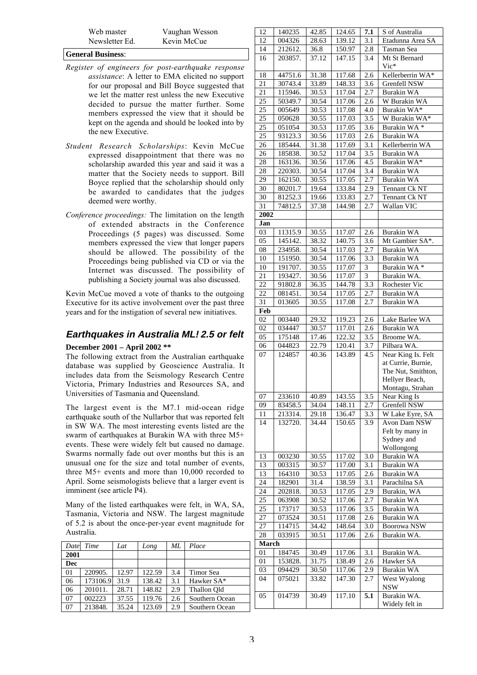#### **General Business**:

- *Register of engineers for post-earthquake response assistance*: A letter to EMA elicited no support for our proposal and Bill Boyce suggested that we let the matter rest unless the new Executive decided to pursue the matter further. Some members expressed the view that it should be kept on the agenda and should be looked into by the new Executive.
- *Student Research Scholarships*: Kevin McCue expressed disappointment that there was no scholarship awarded this year and said it was a matter that the Society needs to support. Bill Boyce replied that the scholarship should only be awarded to candidates that the judges deemed were worthy.
- *Conference proceedings:* The limitation on the length of extended abstracts in the Conference Proceedings (5 pages) was discussed. Some members expressed the view that longer papers should be allowed. The possibility of the Proceedings being published via CD or via the Internet was discussed. The possibility of publishing a Society journal was also discussed.

Kevin McCue moved a vote of thanks to the outgoing Executive for its active involvement over the past three years and for the instigation of several new initiatives.

#### **Earthquakes in Australia ML≥2.5 or felt**

#### **December 2001 – April 2002 \*\***

The following extract from the Australian earthquake database was supplied by Geoscience Australia. It includes data from the Seismology Research Centre Victoria, Primary Industries and Resources SA, and Universities of Tasmania and Queensland.

The largest event is the M7.1 mid-ocean ridge earthquake south of the Nullarbor that was reported felt in SW WA. The most interesting events listed are the swarm of earthquakes at Burakin WA with three M5+ events. These were widely felt but caused no damage. Swarms normally fade out over months but this is an unusual one for the size and total number of events, three M5+ events and more than 10,000 recorded to April. Some seismologists believe that a larger event is imminent (see article P4).

Many of the listed earthquakes were felt, in WA, SA, Tasmania, Victoria and NSW. The largest magnitude of 5.2 is about the once-per-year event magnitude for Australia.

| Date | Time     | Lat   | Long   | ML  | Place          |
|------|----------|-------|--------|-----|----------------|
| 2001 |          |       |        |     |                |
| Dec  |          |       |        |     |                |
| 01   | 220905.  | 12.97 | 122.59 | 3.4 | Timor Sea      |
| 06   | 173106.9 | 31.9  | 138.42 | 3.1 | Hawker SA*     |
| 06   | 201011.  | 28.71 | 148.82 | 2.9 | Thallon Old    |
| 07   | 002223   | 37.55 | 119.76 | 2.6 | Southern Ocean |
| 07   | 213848.  | 35.24 | 123.69 | 2.9 | Southern Ocean |

| 12           | 140235  | 42.85 | 124.65 | 7.1 | S of Australia     |
|--------------|---------|-------|--------|-----|--------------------|
| 12           | 004326  | 28.63 | 139.12 | 3.1 | Etadunna Area SA   |
| 14           | 212612. | 36.8  | 150.97 | 2.8 | Tasman Sea         |
| 16           | 203857. | 37.12 | 147.15 | 3.4 | Mt St Bernard      |
|              |         |       |        |     | $Vic*$             |
| 18           | 44751.6 | 31.38 | 117.68 | 2.6 | Kellerberrin WA*   |
| 21           | 30743.4 | 33.89 | 148.33 | 3.6 | Grenfell NSW       |
| 21           | 115946. | 30.53 | 117.04 | 2.7 | <b>Burakin WA</b>  |
| 25           | 50349.7 | 30.54 | 117.06 | 2.6 | W Burakin WA       |
| 25           | 005649  | 30.53 | 117.08 | 4.0 | Burakin WA*        |
| 25           | 050628  | 30.55 | 117.03 | 3.5 | W Burakin WA*      |
| 25           | 051054  | 30.53 | 117.05 | 3.6 | Burakin WA*        |
| 25           | 93123.3 | 30.56 | 117.03 | 2.6 | Burakin WA         |
| 26           | 185444. | 31.38 | 117.69 | 3.1 | Kellerberrin WA    |
| 26           | 185838. | 30.52 | 117.04 | 3.5 | Burakin WA         |
| 28           | 163136. | 30.56 | 117.06 | 4.5 | Burakin WA*        |
| 28           | 220303. | 30.54 | 117.04 | 3.4 | Burakin WA         |
| 29           | 162150. | 30.55 | 117.05 | 2.7 | Burakin WA         |
| 30           | 80201.7 | 19.64 | 133.84 | 2.9 | Tennant Ck NT      |
| 30           | 81252.3 | 19.66 | 133.83 | 2.7 | Tennant Ck NT      |
| 31           | 74812.5 | 37.38 | 144.98 | 2.7 | Wallan VIC         |
| 2002         |         |       |        |     |                    |
| Jan          |         |       |        |     |                    |
| 03           | 11315.9 | 30.55 | 117.07 | 2.6 | <b>Burakin WA</b>  |
| 05           | 145142. | 38.32 | 140.75 | 3.6 | Mt Gambier SA*.    |
| 08           | 234958. | 30.54 | 117.03 | 2.7 | <b>Burakin WA</b>  |
| 10           | 151950. | 30.54 | 117.06 | 3.3 | <b>Burakin WA</b>  |
| 10           | 191707. | 30.55 | 117.07 | 3   | Burakin WA*        |
| 21           | 193427. | 30.56 | 117.07 | 3   | Burakin WA.        |
| 22           | 91802.8 | 36.35 | 144.78 | 3.3 | Rochester Vic      |
| 22           | 081451. | 30.54 | 117.05 | 2.7 | <b>Burakin WA</b>  |
| 31           | 013605  | 30.55 | 117.08 | 2.7 | Burakin WA         |
| Feb          |         |       |        |     |                    |
| 02           | 003440  | 29.32 | 119.23 | 2.6 | Lake Barlee WA     |
| 02           | 034447  | 30.57 | 117.01 | 2.6 | Burakin WA         |
| 05           | 175148  | 17.46 | 122.32 | 3.5 | Broome WA.         |
| 06           | 044823  | 22.79 | 120.41 | 3.7 | Pilbara WA.        |
| 07           | 124857  | 40.36 | 143.89 | 4.5 | Near King Is. Felt |
|              |         |       |        |     | at Currie, Burnie, |
|              |         |       |        |     | The Nut, Smithton, |
|              |         |       |        |     | Hellyer Beach,     |
|              |         |       |        |     | Montagu, Strahan   |
| 07           | 233610  | 40.89 | 143.55 | 3.5 | Near King Is       |
| 09           | 83458.5 | 34.04 | 148.11 | 2.7 | Grenfell NSW       |
| $11\,$       | 213314. | 29.18 | 136.47 | 3.3 | W Lake Eyre, SA    |
| 14           | 132720. | 34.44 | 150.65 | 3.9 | Avon Dam NSW       |
|              |         |       |        |     | Felt by many in    |
|              |         |       |        |     | Sydney and         |
|              |         |       |        |     | Wollongong         |
| 13           | 003230  | 30.55 | 117.02 | 3.0 | Burakin WA         |
| 13           | 003315  | 30.57 | 117.00 | 3.1 | <b>Burakin WA</b>  |
| 13           | 164310  | 30.53 | 117.05 | 2.6 | <b>Burakin WA</b>  |
| 24           | 182901  | 31.4  | 138.59 | 3.1 | Parachilna SA      |
| 24           | 202818. | 30.53 | 117.05 | 2.9 | Burakin, WA        |
| 25           | 063908  | 30.52 | 117.06 | 2.7 | <b>Burakin WA</b>  |
| 25           | 173717  | 30.53 | 117.06 | 3.5 | <b>Burakin WA</b>  |
| 27           | 073524  | 30.51 | 117.08 | 2.6 | <b>Burakin WA</b>  |
| 27           | 114715  | 34.42 | 148.64 | 3.0 | Boorowa NSW        |
| 28           | 033915  | 30.51 | 117.06 | 2.6 | Burakin WA.        |
| <b>March</b> |         |       |        |     |                    |
| 01           | 184745  | 30.49 | 117.06 | 3.1 | Burakin WA.        |
| 01           | 153828. | 31.75 | 138.49 | 2.6 | Hawker SA          |
| 03           | 094429  | 30.50 | 117.06 | 2.9 | <b>Burakin WA</b>  |
| 04           | 075021  | 33.82 | 147.30 | 2.7 | West Wyalong       |
|              |         |       |        |     | <b>NSW</b>         |
| 05           | 014739  | 30.49 | 117.10 | 5.1 | Burakin WA.        |
|              |         |       |        |     | Widely felt in     |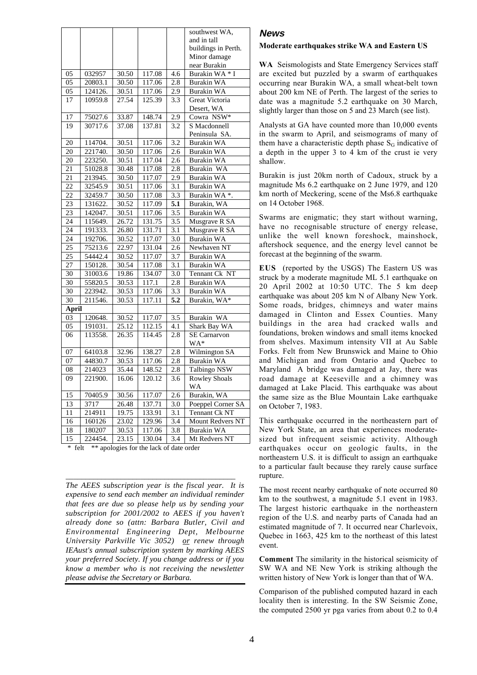|                 |         |       |        |                  | southwest WA,           |
|-----------------|---------|-------|--------|------------------|-------------------------|
|                 |         |       |        |                  | and in tall             |
|                 |         |       |        |                  | buildings in Perth.     |
|                 |         |       |        |                  | Minor damage            |
|                 |         |       |        |                  | near Burakin            |
| 05              | 032957  | 30.50 | 117.08 | 4.6              | Burakin WA * I          |
| 05              | 20803.1 | 30.50 | 117.06 | 2.8              | <b>Burakin WA</b>       |
| 05              | 124126. | 30.51 | 117.06 | 2.9              | <b>Burakin WA</b>       |
| 17              | 10959.8 | 27.54 | 125.39 | 3.3              | Great Victoria          |
|                 |         |       |        |                  | Desert, WA              |
| 17              | 75027.6 | 33.87 | 148.74 | 2.9              | Cowra NSW*              |
| 19              | 30717.6 | 37.08 | 137.81 | 3.2              | S Macdonnell            |
|                 |         |       |        |                  | Peninsula SA.           |
| 20              | 114704. | 30.51 | 117.06 | 3.2              | <b>Burakin WA</b>       |
| 20              | 221740. | 30.50 | 117.06 | 2.6              | <b>Burakin WA</b>       |
| 20              | 223250. | 30.51 | 117.04 | 2.6              | <b>Burakin WA</b>       |
| 21              | 51028.8 | 30.48 | 117.08 | 2.8              | Burakin WA              |
| 21              | 213945. | 30.50 | 117.07 | $2.\overline{9}$ | <b>Burakin WA</b>       |
| 22              | 32545.9 | 30.51 | 117.06 | 3.1              | <b>Burakin WA</b>       |
| 22              | 32459.7 | 30.50 | 117.08 | 3.3              | Burakin WA*.            |
| 23              | 131622. | 30.52 | 117.09 | 5.1              | Burakin, WA             |
| 23              | 142047. | 30.51 | 117.06 | 3.5              | <b>Burakin WA</b>       |
| 24              | 115649. | 26.72 | 131.75 | 3.5              | Musgrave R SA           |
| 24              | 191333. | 26.80 | 131.71 | 3.1              | Musgrave R SA           |
| 24              | 192706. | 30.52 | 117.07 | 3.0              | <b>Burakin WA</b>       |
| 25              | 75213.6 | 22.97 | 131.04 | 2.6              | Newhaven NT             |
| 25              | 54442.4 | 30.52 | 117.07 | 3.7              | <b>Burakin WA</b>       |
| 27              | 150128. | 30.54 | 117.08 | 3.1              | <b>Burakin WA</b>       |
| $\overline{30}$ | 31003.6 | 19.86 | 134.07 | 3.0              | Tennant Ck NT           |
| $\overline{30}$ | 55820.5 | 30.53 | 117.1  | 2.8              | <b>Burakin WA</b>       |
| 30              | 223942. | 30.53 | 117.06 | 3.3              | <b>Burakin WA</b>       |
| 30              | 211546. | 30.53 | 117.11 | 5.2              | Burakin, WA*            |
| <b>April</b>    |         |       |        |                  |                         |
| 03              | 120648. | 30.52 | 117.07 | 3.5              | Burakin WA              |
| 05              | 191031. | 25.12 | 112.15 | 4.1              | Shark Bay WA            |
| 06              | 113558. | 26.35 | 114.45 | 2.8              | <b>SE</b> Carnarvon     |
|                 |         |       |        |                  | WA*                     |
| 07              | 64103.8 | 32.96 | 138.27 | 2.8              | <b>Wilmington SA</b>    |
| 07              | 44830.7 | 30.53 | 117.06 | 2.8              | <b>Burakin WA</b>       |
| 08              | 214023  | 35.44 | 148.52 | 2.8              | Talbingo NSW            |
| 09              | 221900. | 16.06 | 120.12 | 3.6              | <b>Rowley Shoals</b>    |
|                 |         |       |        |                  | WA                      |
| $\overline{15}$ | 70405.9 | 30.56 | 117.07 | 2.6              | Burakin, WA             |
| 13              | 3717    | 26.48 | 137.71 | 3.0              | Poeppel Corner SA       |
| 11              | 214911  | 19.75 | 133.91 | 3.1              | Tennant Ck NT           |
| 16              | 160126  | 23.02 | 129.96 | 3.4              | <b>Mount Redvers NT</b> |
| 18              | 180207  | 30.53 | 117.06 | 3.8              | <b>Burakin WA</b>       |
| 15              | 224454. | 23.15 | 130.04 | 3.4              | Mt Redvers NT           |

\* felt \*\* apologies for the lack of date order

*The AEES subscription year is the fiscal year. It is expensive to send each member an individual reminder that fees are due so please help us by sending your subscription for 2001/2002 to AEES if you haven't already done so (attn: Barbara Butler, Civil and Environmental Engineering Dept, Melbourne University Parkville Vic 3052) or renew through IEAust's annual subscription system by marking AEES your preferred Society. If you change address or if you know a member who is not receiving the newsletter please advise the Secretary or Barbara.*

\_\_\_\_\_\_\_\_\_\_\_\_\_\_\_\_\_\_\_\_\_\_\_\_\_\_\_\_\_\_\_\_\_\_\_\_\_\_\_\_\_\_\_

#### **News**

#### **Moderate earthquakes strike WA and Eastern US**

**WA** Seismologists and State Emergency Services staff are excited but puzzled by a swarm of earthquakes occurring near Burakin WA, a small wheat-belt town about 200 km NE of Perth. The largest of the series to date was a magnitude 5.2 earthquake on 30 March, slightly larger than those on 5 and 23 March (see list).

Analysts at GA have counted more than 10,000 events in the swarm to April, and seismograms of many of them have a characteristic depth phase  $S_G$  indicative of a depth in the upper 3 to 4 km of the crust ie very shallow.

Burakin is just 20km north of Cadoux, struck by a magnitude Ms 6.2 earthquake on 2 June 1979, and 120 km north of Meckering, scene of the Ms6.8 earthquake on 14 October 1968.

Swarms are enigmatic; they start without warning, have no recognisable structure of energy release, unlike the well known foreshock, mainshock, aftershock sequence, and the energy level cannot be forecast at the beginning of the swarm.

**EUS** (reported by the USGS) The Eastern US was struck by a moderate magnitude ML 5.1 earthquake on 20 April 2002 at 10:50 UTC. The 5 km deep earthquake was about 205 km N of Albany New York. Some roads, bridges, chimneys and water mains damaged in Clinton and Essex Counties. Many buildings in the area had cracked walls and foundations, broken windows and small items knocked from shelves. Maximum intensity VII at Au Sable Forks. Felt from New Brunswick and Maine to Ohio and Michigan and from Ontario and Quebec to Maryland A bridge was damaged at Jay, there was road damage at Keeseville and a chimney was damaged at Lake Placid. This earthquake was about the same size as the Blue Mountain Lake earthquake on October 7, 1983.

This earthquake occurred in the northeastern part of New York State, an area that experiences moderatesized but infrequent seismic activity. Although earthquakes occur on geologic faults, in the northeastern U.S. it is difficult to assign an earthquake to a particular fault because they rarely cause surface rupture.

The most recent nearby earthquake of note occurred 80 km to the southwest, a magnitude 5.1 event in 1983. The largest historic earthquake in the northeastern region of the U.S. and nearby parts of Canada had an estimated magnitude of 7. It occurred near Charlevoix, Quebec in 1663, 425 km to the northeast of this latest event.

**Comment** The similarity in the historical seismicity of SW WA and NE New York is striking although the written history of New York is longer than that of WA.

Comparison of the published computed hazard in each locality then is interesting. In the SW Seismic Zone, the computed 2500 yr pga varies from about 0.2 to 0.4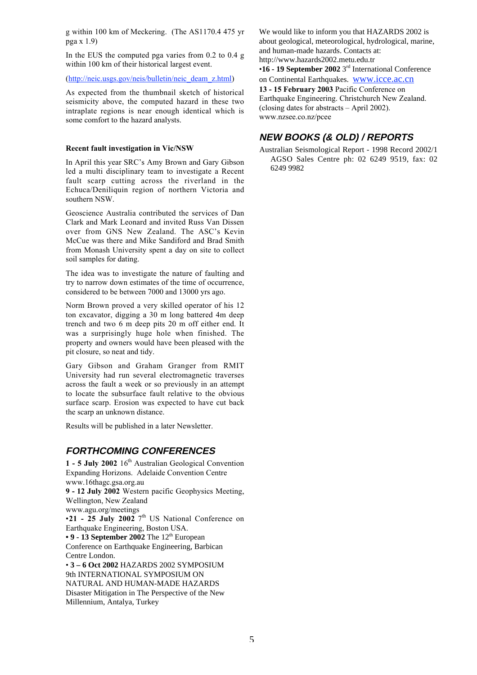g within 100 km of Meckering. (The AS1170.4 475 yr pga x 1.9)

In the EUS the computed pga varies from 0.2 to 0.4 g within 100 km of their historical largest event.

(http://neic.usgs.gov/neis/bulletin/neic\_deam\_z.html)

As expected from the thumbnail sketch of historical seismicity above, the computed hazard in these two intraplate regions is near enough identical which is some comfort to the hazard analysts.

#### **Recent fault investigation in Vic/NSW**

In April this year SRC's Amy Brown and Gary Gibson led a multi disciplinary team to investigate a Recent fault scarp cutting across the riverland in the Echuca/Deniliquin region of northern Victoria and southern NSW.

Geoscience Australia contributed the services of Dan Clark and Mark Leonard and invited Russ Van Dissen over from GNS New Zealand. The ASC's Kevin McCue was there and Mike Sandiford and Brad Smith from Monash University spent a day on site to collect soil samples for dating.

The idea was to investigate the nature of faulting and try to narrow down estimates of the time of occurrence, considered to be between 7000 and 13000 yrs ago.

Norm Brown proved a very skilled operator of his 12 ton excavator, digging a 30 m long battered 4m deep trench and two 6 m deep pits 20 m off either end. It was a surprisingly huge hole when finished. The property and owners would have been pleased with the pit closure, so neat and tidy.

Gary Gibson and Graham Granger from RMIT University had run several electromagnetic traverses across the fault a week or so previously in an attempt to locate the subsurface fault relative to the obvious surface scarp. Erosion was expected to have cut back the scarp an unknown distance.

Results will be published in a later Newsletter.

#### **FORTHCOMING CONFERENCES**

1 - 5 July 2002 16<sup>th</sup> Australian Geological Convention Expanding Horizons. Adelaide Convention Centre www.16thagc.gsa.org.au

**9 - 12 July 2002** Western pacific Geophysics Meeting, Wellington, New Zealand

www.agu.org/meetings

 $\cdot$ **21** - **25 July 2002** 7<sup>th</sup> US National Conference on Earthquake Engineering, Boston USA.

• 9 - 13 September 2002 The 12<sup>th</sup> European

Conference on Earthquake Engineering, Barbican Centre London.

• **3 – 6 Oct 2002** HAZARDS 2002 SYMPOSIUM 9th INTERNATIONAL SYMPOSIUM ON NATURAL AND HUMAN-MADE HAZARDS Disaster Mitigation in The Perspective of the New Millennium, Antalya, Turkey

We would like to inform you that HAZARDS 2002 is about geological, meteorological, hydrological, marine, and human-made hazards. Contacts at: http://www.hazards2002.metu.edu.tr

•**16 - 19 September 2002** 3rd International Conference

on Continental Earthquakes. www.icce.ac.cn

**13 - 15 February 2003** Pacific Conference on Earthquake Engineering. Christchurch New Zealand. (closing dates for abstracts – April 2002). www.nzsee.co.nz/pcee

### **NEW BOOKS (& OLD) / REPORTS**

Australian Seismological Report - 1998 Record 2002/1 AGSO Sales Centre ph: 02 6249 9519, fax: 02 6249 9982